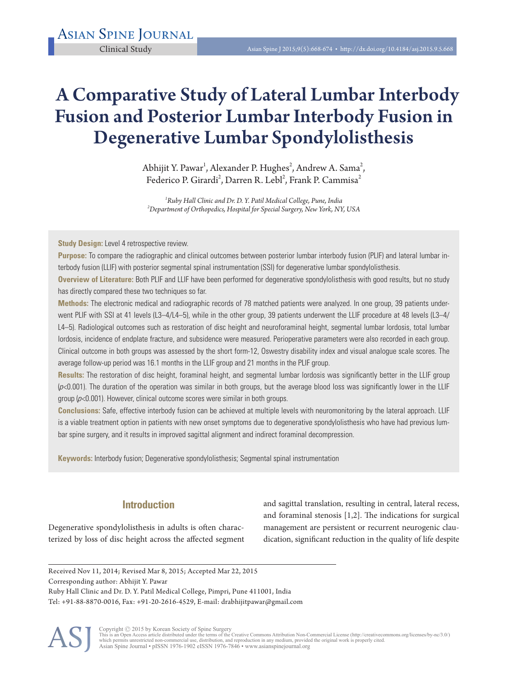# A Comparative Study of Lateral Lumbar Interbody Fusion and Posterior Lumbar Interbody Fusion in Degenerative Lumbar Spondylolisthesis

Abhijit Y. Pawar<sup>1</sup>, Alexander P. Hughes<sup>2</sup>, Andrew A. Sama<sup>2</sup>, Federico P. Girardi<sup>2</sup>, Darren R. Lebl<sup>2</sup>, Frank P. Cammisa<sup>2</sup>

*1 Ruby Hall Clinic and Dr. D. Y. Patil Medical College, Pune, India <sup>2</sup> Department of Orthopedics, Hospital for Special Surgery, New York, NY, USA* 

**Study Design:** Level 4 retrospective review.

**Purpose:** To compare the radiographic and clinical outcomes between posterior lumbar interbody fusion (PLIF) and lateral lumbar interbody fusion (LLIF) with posterior segmental spinal instrumentation (SSI) for degenerative lumbar spondylolisthesis.

**Overview of Literature:** Both PLIF and LLIF have been performed for degenerative spondylolisthesis with good results, but no study has directly compared these two techniques so far.

**Methods:** The electronic medical and radiographic records of 78 matched patients were analyzed. In one group, 39 patients underwent PLIF with SSI at 41 levels (L3–4/L4–5), while in the other group, 39 patients underwent the LLIF procedure at 48 levels (L3–4/ L4–5). Radiological outcomes such as restoration of disc height and neuroforaminal height, segmental lumbar lordosis, total lumbar lordosis, incidence of endplate fracture, and subsidence were measured. Perioperative parameters were also recorded in each group. Clinical outcome in both groups was assessed by the short form-12, Oswestry disability index and visual analogue scale scores. The average follow-up period was 16.1 months in the LLIF group and 21 months in the PLIF group.

**Results:** The restoration of disc height, foraminal height, and segmental lumbar lordosis was significantly better in the LLIF group  $(\rho<0.001)$ . The duration of the operation was similar in both groups, but the average blood loss was significantly lower in the LLIF group  $(p<0.001)$ . However, clinical outcome scores were similar in both groups.

**Conclusions:** Safe, effective interbody fusion can be achieved at multiple levels with neuromonitoring by the lateral approach. LLIF is a viable treatment option in patients with new onset symptoms due to degenerative spondylolisthesis who have had previous lumbar spine surgery, and it results in improved sagittal alignment and indirect foraminal decompression.

**Keywords:** Interbody fusion; Degenerative spondylolisthesis; Segmental spinal instrumentation

# **Introduction**

Degenerative spondylolisthesis in adults is often characterized by loss of disc height across the affected segment

and sagittal translation, resulting in central, lateral recess, and foraminal stenosis [1,2]. The indications for surgical management are persistent or recurrent neurogenic claudication, significant reduction in the quality of life despite

Received Nov 11, 2014; Revised Mar 8, 2015; Accepted Mar 22, 2015 Corresponding author: Abhijit Y. Pawar Ruby Hall Clinic and Dr. D. Y. Patil Medical College, Pimpri, Pune 411001, India Tel: +91-88-8870-0016, Fax: +91-20-2616-4529, E-mail: drabhijitpawar@gmail.com



Copyright © 2015 by Korean Society of Spine Surgery<br>This is an Open Access article distributed under the terms of the Creative Commons Attribution Non-Commercial License (http://creativecommons.org/licenses/by-nc/3.0/)<br>whi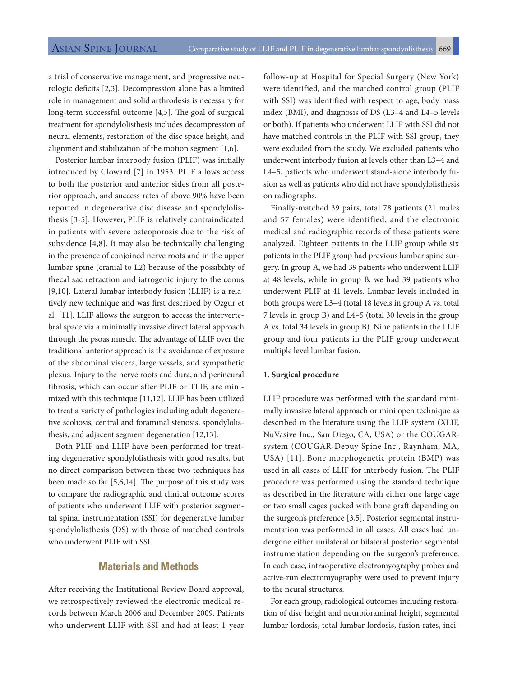a trial of conservative management, and progressive neurologic deficits [2,3]. Decompression alone has a limited role in management and solid arthrodesis is necessary for long-term successful outcome [4,5]. The goal of surgical treatment for spondylolisthesis includes decompression of neural elements, restoration of the disc space height, and alignment and stabilization of the motion segment [1,6].

Posterior lumbar interbody fusion (PLIF) was initially introduced by Cloward [7] in 1953. PLIF allows access to both the posterior and anterior sides from all posterior approach, and success rates of above 90% have been reported in degenerative disc disease and spondylolisthesis [3-5]. However, PLIF is relatively contraindicated in patients with severe osteoporosis due to the risk of subsidence [4,8]. It may also be technically challenging in the presence of conjoined nerve roots and in the upper lumbar spine (cranial to L2) because of the possibility of thecal sac retraction and iatrogenic injury to the conus [9,10]. Lateral lumbar interbody fusion (LLIF) is a relatively new technique and was first described by Ozgur et al. [11]. LLIF allows the surgeon to access the intervertebral space via a minimally invasive direct lateral approach through the psoas muscle. The advantage of LLIF over the traditional anterior approach is the avoidance of exposure of the abdominal viscera, large vessels, and sympathetic plexus. Injury to the nerve roots and dura, and perineural fibrosis, which can occur after PLIF or TLIF, are minimized with this technique [11,12]. LLIF has been utilized to treat a variety of pathologies including adult degenerative scoliosis, central and foraminal stenosis, spondylolisthesis, and adjacent segment degeneration [12,13].

Both PLIF and LLIF have been performed for treating degenerative spondylolisthesis with good results, but no direct comparison between these two techniques has been made so far [5,6,14]. The purpose of this study was to compare the radiographic and clinical outcome scores of patients who underwent LLIF with posterior segmental spinal instrumentation (SSI) for degenerative lumbar spondylolisthesis (DS) with those of matched controls who underwent PLIF with SSI.

# **Materials and Methods**

After receiving the Institutional Review Board approval, we retrospectively reviewed the electronic medical records between March 2006 and December 2009. Patients who underwent LLIF with SSI and had at least 1-year

follow-up at Hospital for Special Surgery (New York) were identified, and the matched control group (PLIF with SSI) was identified with respect to age, body mass index (BMI), and diagnosis of DS (L3–4 and L4–5 levels or both). If patients who underwent LLIF with SSI did not have matched controls in the PLIF with SSI group, they were excluded from the study. We excluded patients who underwent interbody fusion at levels other than L3–4 and L4–5, patients who underwent stand-alone interbody fusion as well as patients who did not have spondylolisthesis on radiographs.

Finally-matched 39 pairs, total 78 patients (21 males and 57 females) were identified, and the electronic medical and radiographic records of these patients were analyzed. Eighteen patients in the LLIF group while six patients in the PLIF group had previous lumbar spine surgery. In group A, we had 39 patients who underwent LLIF at 48 levels, while in group B, we had 39 patients who underwent PLIF at 41 levels. Lumbar levels included in both groups were L3–4 (total 18 levels in group A vs. total 7 levels in group B) and L4–5 (total 30 levels in the group A vs. total 34 levels in group B). Nine patients in the LLIF group and four patients in the PLIF group underwent multiple level lumbar fusion.

#### **1. Surgical procedure**

LLIF procedure was performed with the standard minimally invasive lateral approach or mini open technique as described in the literature using the LLIF system (XLIF, NuVasive Inc., San Diego, CA, USA) or the COUGARsystem (COUGAR-Depuy Spine Inc., Raynham, MA, USA) [11]. Bone morphogenetic protein (BMP) was used in all cases of LLIF for interbody fusion. The PLIF procedure was performed using the standard technique as described in the literature with either one large cage or two small cages packed with bone graft depending on the surgeon's preference [3,5]. Posterior segmental instrumentation was performed in all cases. All cases had undergone either unilateral or bilateral posterior segmental instrumentation depending on the surgeon's preference. In each case, intraoperative electromyography probes and active-run electromyography were used to prevent injury to the neural structures.

For each group, radiological outcomes including restoration of disc height and neuroforaminal height, segmental lumbar lordosis, total lumbar lordosis, fusion rates, inci-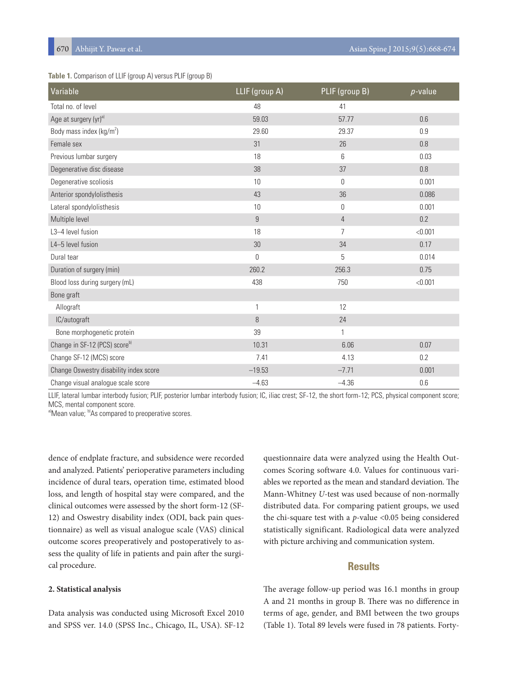### **Table 1.** Comparison of LLIF (group A) versus PLIF (group B)

| Variable                                  | LLIF (group A) | PLIF (group B) | $p$ -value |
|-------------------------------------------|----------------|----------------|------------|
| Total no. of level                        | 48             | 41             |            |
| Age at surgery (yr) <sup>a)</sup>         | 59.03          | 57.77          | 0.6        |
| Body mass index ( $kg/m2$ )               | 29.60          | 29.37          | 0.9        |
| Female sex                                | 31             | 26             | 0.8        |
| Previous lumbar surgery                   | 18             | 6              | 0.03       |
| Degenerative disc disease                 | 38             | 37             | 0.8        |
| Degenerative scoliosis                    | 10             | $\Omega$       | 0.001      |
| Anterior spondylolisthesis                | 43             | 36             | 0.086      |
| Lateral spondylolisthesis                 | 10             | $\overline{0}$ | 0.001      |
| Multiple level                            | 9              | $\overline{4}$ | 0.2        |
| L3-4 level fusion                         | 18             | $\overline{7}$ | < 0.001    |
| L4-5 level fusion                         | 30             | 34             | 0.17       |
| Dural tear                                | $\overline{0}$ | 5              | 0.014      |
| Duration of surgery (min)                 | 260.2          | 256.3          | 0.75       |
| Blood loss during surgery (mL)            | 438            | 750            | < 0.001    |
| Bone graft                                |                |                |            |
| Allograft                                 | 1              | 12             |            |
| IC/autograft                              | 8              | 24             |            |
| Bone morphogenetic protein                | 39             | 1              |            |
| Change in SF-12 (PCS) score <sup>b)</sup> | 10.31          | 6.06           | 0.07       |
| Change SF-12 (MCS) score                  | 7.41           | 4.13           | 0.2        |
| Change Oswestry disability index score    | $-19.53$       | $-7.71$        | 0.001      |
| Change visual analogue scale score        | $-4.63$        | $-4.36$        | 0.6        |

LLIF, lateral lumbar interbody fusion; PLIF, posterior lumbar interbody fusion; IC, iliac crest; SF-12, the short form-12; PCS, physical component score; MCS, mental component score.

a)Mean value; b)As compared to preoperative scores.

dence of endplate fracture, and subsidence were recorded and analyzed. Patients' perioperative parameters including incidence of dural tears, operation time, estimated blood loss, and length of hospital stay were compared, and the clinical outcomes were assessed by the short form-12 (SF-12) and Oswestry disability index (ODI, back pain questionnaire) as well as visual analogue scale (VAS) clinical outcome scores preoperatively and postoperatively to assess the quality of life in patients and pain after the surgical procedure.

#### **2. Statistical analysis**

Data analysis was conducted using Microsoft Excel 2010 and SPSS ver. 14.0 (SPSS Inc., Chicago, IL, USA). SF-12

questionnaire data were analyzed using the Health Outcomes Scoring software 4.0. Values for continuous variables we reported as the mean and standard deviation. The Mann-Whitney *U*-test was used because of non-normally distributed data. For comparing patient groups, we used the chi-square test with a *p*-value <0.05 being considered statistically significant. Radiological data were analyzed with picture archiving and communication system.

# **Results**

The average follow-up period was 16.1 months in group A and 21 months in group B. There was no difference in terms of age, gender, and BMI between the two groups (Table 1). Total 89 levels were fused in 78 patients. Forty-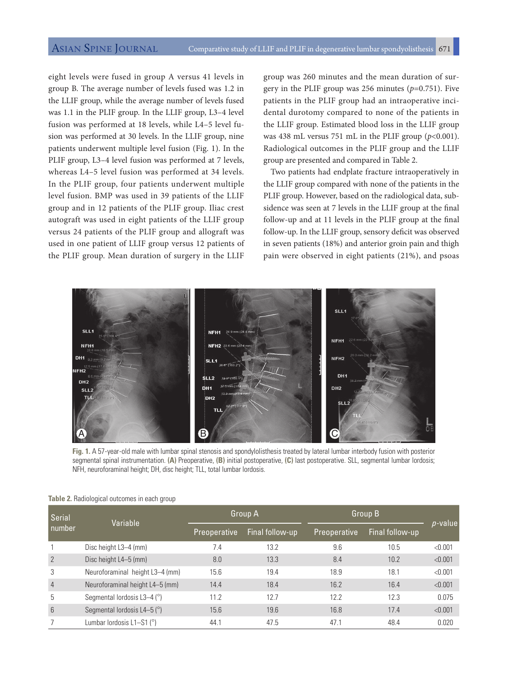eight levels were fused in group A versus 41 levels in group B. The average number of levels fused was 1.2 in the LLIF group, while the average number of levels fused was 1.1 in the PLIF group. In the LLIF group, L3–4 level fusion was performed at 18 levels, while L4–5 level fusion was performed at 30 levels. In the LLIF group, nine patients underwent multiple level fusion (Fig. 1). In the PLIF group, L3–4 level fusion was performed at 7 levels, whereas L4–5 level fusion was performed at 34 levels. In the PLIF group, four patients underwent multiple level fusion. BMP was used in 39 patients of the LLIF group and in 12 patients of the PLIF group. Iliac crest autograft was used in eight patients of the LLIF group versus 24 patients of the PLIF group and allograft was used in one patient of LLIF group versus 12 patients of the PLIF group. Mean duration of surgery in the LLIF

group was 260 minutes and the mean duration of surgery in the PLIF group was 256 minutes  $(p=0.751)$ . Five patients in the PLIF group had an intraoperative incidental durotomy compared to none of the patients in the LLIF group. Estimated blood loss in the LLIF group was 438 mL versus 751 mL in the PLIF group (*p*<0.001). Radiological outcomes in the PLIF group and the LLIF group are presented and compared in Table 2.

Two patients had endplate fracture intraoperatively in the LLIF group compared with none of the patients in the PLIF group. However, based on the radiological data, subsidence was seen at 7 levels in the LLIF group at the final follow-up and at 11 levels in the PLIF group at the final follow-up. In the LLIF group, sensory deficit was observed in seven patients (18%) and anterior groin pain and thigh pain were observed in eight patients (21%), and psoas



**Fig. 1.** A 57-year-old male with lumbar spinal stenosis and spondylolisthesis treated by lateral lumbar interbody fusion with posterior segmental spinal instrumentation. **(A)** Preoperative, **(B)** initial postoperative, **(C)** last postoperative. SLL, segmental lumbar lordosis; NFH, neuroforaminal height; DH, disc height; TLL, total lumbar lordosis.

| Serial<br>number | Variable                               | Group A             |                 | Group B             |                 |            |
|------------------|----------------------------------------|---------------------|-----------------|---------------------|-----------------|------------|
|                  |                                        | <b>Preoperative</b> | Final follow-up | <b>Preoperative</b> | Final follow-up | $p$ -value |
|                  | Disc height L3-4 (mm)                  | 7.4                 | 13.2            | 9.6                 | 10.5            | < 0.001    |
| $\overline{2}$   | Disc height L4-5 (mm)                  | 8.0                 | 13.3            | 8.4                 | 10.2            | < 0.001    |
| 3                | Neuroforaminal height L3-4 (mm)        | 15.6                | 19.4            | 18.9                | 18.1            | < 0.001    |
| $\overline{4}$   | Neuroforaminal height L4-5 (mm)        | 14.4                | 18.4            | 16.2                | 16.4            | < 0.001    |
| 5                | Segmental lordosis L3-4 $(°)$          | 11.2                | 12.7            | 12.2                | 12.3            | 0.075      |
| 6                | Segmental lordosis L4-5 $(^\circ)$     | 15.6                | 19.6            | 16.8                | 17.4            | < 0.001    |
|                  | Lumbar lordosis $L1-S1$ ( $^{\circ}$ ) | 44.1                | 47.5            | 47.1                | 48.4            | 0.020      |

**Table 2.** Radiological outcomes in each group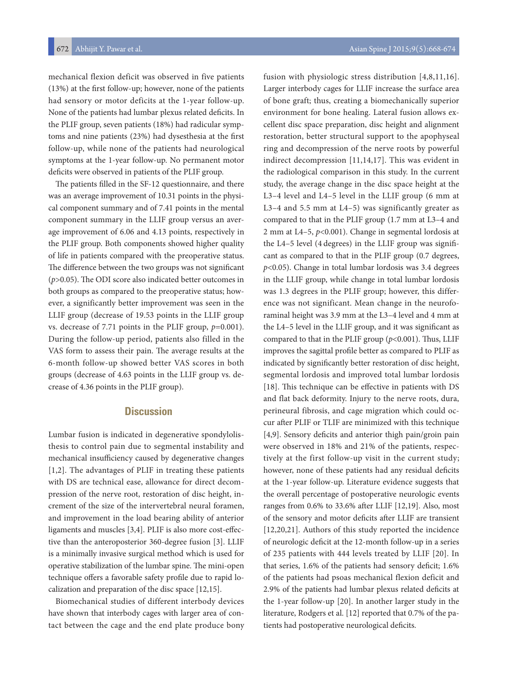672 Abhijit Y. Pawar et al. Asian Spine J 2015;9(5):668-674

mechanical flexion deficit was observed in five patients (13%) at the first follow-up; however, none of the patients had sensory or motor deficits at the 1-year follow-up. None of the patients had lumbar plexus related deficits. In the PLIF group, seven patients (18%) had radicular symptoms and nine patients (23%) had dysesthesia at the first follow-up, while none of the patients had neurological symptoms at the 1-year follow-up. No permanent motor deficits were observed in patients of the PLIF group.

The patients filled in the SF-12 questionnaire, and there was an average improvement of 10.31 points in the physical component summary and of 7.41 points in the mental component summary in the LLIF group versus an average improvement of 6.06 and 4.13 points, respectively in the PLIF group. Both components showed higher quality of life in patients compared with the preoperative status. The difference between the two groups was not significant (*p*>0.05). The ODI score also indicated better outcomes in both groups as compared to the preoperative status; however, a significantly better improvement was seen in the LLIF group (decrease of 19.53 points in the LLIF group vs. decrease of 7.71 points in the PLIF group, *p*=0.001). During the follow-up period, patients also filled in the VAS form to assess their pain. The average results at the 6-month follow-up showed better VAS scores in both groups (decrease of 4.63 points in the LLIF group vs. decrease of 4.36 points in the PLIF group).

## **Discussion**

Lumbar fusion is indicated in degenerative spondylolisthesis to control pain due to segmental instability and mechanical insufficiency caused by degenerative changes [1,2]. The advantages of PLIF in treating these patients with DS are technical ease, allowance for direct decompression of the nerve root, restoration of disc height, increment of the size of the intervertebral neural foramen, and improvement in the load bearing ability of anterior ligaments and muscles [3,4]. PLIF is also more cost-effective than the anteroposterior 360-degree fusion [3]. LLIF is a minimally invasive surgical method which is used for operative stabilization of the lumbar spine. The mini-open technique offers a favorable safety profile due to rapid localization and preparation of the disc space [12,15].

Biomechanical studies of different interbody devices have shown that interbody cages with larger area of contact between the cage and the end plate produce bony

fusion with physiologic stress distribution [4,8,11,16]. Larger interbody cages for LLIF increase the surface area of bone graft; thus, creating a biomechanically superior environment for bone healing. Lateral fusion allows excellent disc space preparation, disc height and alignment restoration, better structural support to the apophyseal ring and decompression of the nerve roots by powerful indirect decompression [11,14,17]. This was evident in the radiological comparison in this study. In the current study, the average change in the disc space height at the L3–4 level and L4–5 level in the LLIF group (6 mm at L3–4 and 5.5 mm at L4–5) was significantly greater as compared to that in the PLIF group (1.7 mm at L3–4 and 2 mm at L4–5, *p*<0.001). Change in segmental lordosis at the L4–5 level (4 degrees) in the LLIF group was significant as compared to that in the PLIF group (0.7 degrees, *p*<0.05). Change in total lumbar lordosis was 3.4 degrees in the LLIF group, while change in total lumbar lordosis was 1.3 degrees in the PLIF group; however, this difference was not significant. Mean change in the neuroforaminal height was 3.9 mm at the L3–4 level and 4 mm at the L4–5 level in the LLIF group, and it was significant as compared to that in the PLIF group (*p*<0.001). Thus, LLIF improves the sagittal profile better as compared to PLIF as indicated by significantly better restoration of disc height, segmental lordosis and improved total lumbar lordosis [18]. This technique can be effective in patients with DS and flat back deformity. Injury to the nerve roots, dura, perineural fibrosis, and cage migration which could occur after PLIF or TLIF are minimized with this technique [4,9]. Sensory deficits and anterior thigh pain/groin pain were observed in 18% and 21% of the patients, respectively at the first follow-up visit in the current study; however, none of these patients had any residual deficits at the 1-year follow-up. Literature evidence suggests that the overall percentage of postoperative neurologic events ranges from 0.6% to 33.6% after LLIF [12,19]. Also, most of the sensory and motor deficits after LLIF are transient [12,20,21]. Authors of this study reported the incidence of neurologic deficit at the 12-month follow-up in a series of 235 patients with 444 levels treated by LLIF [20]. In that series, 1.6% of the patients had sensory deficit; 1.6% of the patients had psoas mechanical flexion deficit and 2.9% of the patients had lumbar plexus related deficits at the 1-year follow-up [20]. In another larger study in the literature, Rodgers et al. [12] reported that 0.7% of the patients had postoperative neurological deficits.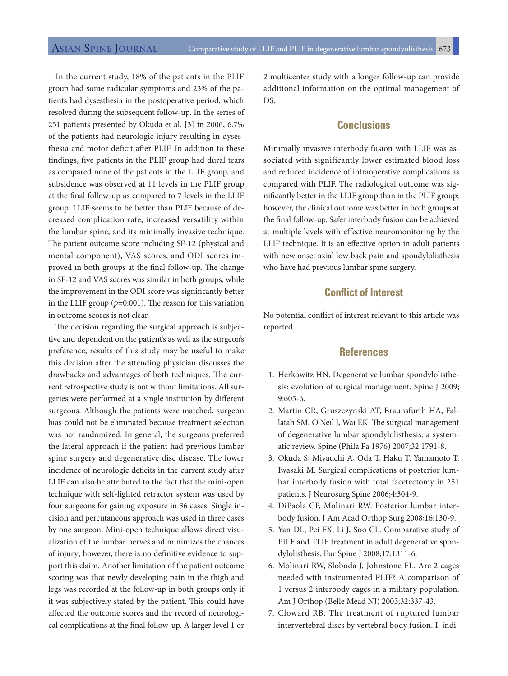In the current study, 18% of the patients in the PLIF group had some radicular symptoms and 23% of the patients had dysesthesia in the postoperative period, which resolved during the subsequent follow-up. In the series of 251 patients presented by Okuda et al. [3] in 2006, 6.7% of the patients had neurologic injury resulting in dysesthesia and motor deficit after PLIF. In addition to these findings, five patients in the PLIF group had dural tears as compared none of the patients in the LLIF group, and subsidence was observed at 11 levels in the PLIF group at the final follow-up as compared to 7 levels in the LLIF group. LLIF seems to be better than PLIF because of decreased complication rate, increased versatility within the lumbar spine, and its minimally invasive technique. The patient outcome score including SF-12 (physical and mental component), VAS scores, and ODI scores improved in both groups at the final follow-up. The change in SF-12 and VAS scores was similar in both groups, while the improvement in the ODI score was significantly better in the LLIF group  $(p=0.001)$ . The reason for this variation in outcome scores is not clear.

The decision regarding the surgical approach is subjective and dependent on the patient's as well as the surgeon's preference, results of this study may be useful to make this decision after the attending physician discusses the drawbacks and advantages of both techniques. The current retrospective study is not without limitations. All surgeries were performed at a single institution by different surgeons. Although the patients were matched, surgeon bias could not be eliminated because treatment selection was not randomized. In general, the surgeons preferred the lateral approach if the patient had previous lumbar spine surgery and degenerative disc disease. The lower incidence of neurologic deficits in the current study after LLIF can also be attributed to the fact that the mini-open technique with self-lighted retractor system was used by four surgeons for gaining exposure in 36 cases. Single incision and percutaneous approach was used in three cases by one surgeon. Mini-open technique allows direct visualization of the lumbar nerves and minimizes the chances of injury; however, there is no definitive evidence to support this claim. Another limitation of the patient outcome scoring was that newly developing pain in the thigh and legs was recorded at the follow-up in both groups only if it was subjectively stated by the patient. This could have affected the outcome scores and the record of neurological complications at the final follow-up. A larger level 1 or

2 multicenter study with a longer follow-up can provide additional information on the optimal management of DS.

# **Conclusions**

Minimally invasive interbody fusion with LLIF was associated with significantly lower estimated blood loss and reduced incidence of intraoperative complications as compared with PLIF. The radiological outcome was significantly better in the LLIF group than in the PLIF group; however, the clinical outcome was better in both groups at the final follow-up. Safer interbody fusion can be achieved at multiple levels with effective neuromonitoring by the LLIF technique. It is an effective option in adult patients with new onset axial low back pain and spondylolisthesis who have had previous lumbar spine surgery.

# **Conflict of Interest**

No potential conflict of interest relevant to this article was reported.

# **References**

- 1. Herkowitz HN. Degenerative lumbar spondylolisthesis: evolution of surgical management. Spine J 2009; 9:605-6.
- 2. Martin CR, Gruszczynski AT, Braunsfurth HA, Fallatah SM, O'Neil J, Wai EK. The surgical management of degenerative lumbar spondylolisthesis: a systematic review. Spine (Phila Pa 1976) 2007;32:1791-8.
- 3. Okuda S, Miyauchi A, Oda T, Haku T, Yamamoto T, Iwasaki M. Surgical complications of posterior lumbar interbody fusion with total facetectomy in 251 patients. J Neurosurg Spine 2006;4:304-9.
- 4. DiPaola CP, Molinari RW. Posterior lumbar interbody fusion. J Am Acad Orthop Surg 2008;16:130-9.
- 5. Yan DL, Pei FX, Li J, Soo CL. Comparative study of PILF and TLIF treatment in adult degenerative spondylolisthesis. Eur Spine J 2008;17:1311-6.
- 6. Molinari RW, Sloboda J, Johnstone FL. Are 2 cages needed with instrumented PLIF? A comparison of 1 versus 2 interbody cages in a military population. Am J Orthop (Belle Mead NJ) 2003;32:337-43.
- 7. Cloward RB. The treatment of ruptured lumbar intervertebral discs by vertebral body fusion. I: indi-